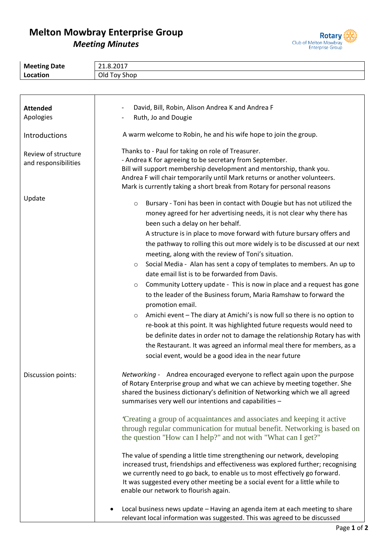## **Melton Mowbray Enterprise Group** *Meeting Minutes*



| <b>Meeting Date</b>  | 21.8.2017                                                                                                                                                     |  |  |  |  |  |
|----------------------|---------------------------------------------------------------------------------------------------------------------------------------------------------------|--|--|--|--|--|
| Location             | Old Toy Shop                                                                                                                                                  |  |  |  |  |  |
|                      |                                                                                                                                                               |  |  |  |  |  |
|                      |                                                                                                                                                               |  |  |  |  |  |
| <b>Attended</b>      | David, Bill, Robin, Alison Andrea K and Andrea F                                                                                                              |  |  |  |  |  |
| Apologies            | Ruth, Jo and Dougie                                                                                                                                           |  |  |  |  |  |
|                      |                                                                                                                                                               |  |  |  |  |  |
| Introductions        | A warm welcome to Robin, he and his wife hope to join the group.                                                                                              |  |  |  |  |  |
| Review of structure  | Thanks to - Paul for taking on role of Treasurer.                                                                                                             |  |  |  |  |  |
| and responsibilities | - Andrea K for agreeing to be secretary from September.                                                                                                       |  |  |  |  |  |
|                      | Bill will support membership development and mentorship, thank you.                                                                                           |  |  |  |  |  |
|                      | Andrea F will chair temporarily until Mark returns or another volunteers.                                                                                     |  |  |  |  |  |
|                      | Mark is currently taking a short break from Rotary for personal reasons                                                                                       |  |  |  |  |  |
| Update               | Bursary - Toni has been in contact with Dougie but has not utilized the<br>$\circ$                                                                            |  |  |  |  |  |
|                      | money agreed for her advertising needs, it is not clear why there has                                                                                         |  |  |  |  |  |
|                      | been such a delay on her behalf.                                                                                                                              |  |  |  |  |  |
|                      | A structure is in place to move forward with future bursary offers and                                                                                        |  |  |  |  |  |
|                      | the pathway to rolling this out more widely is to be discussed at our next                                                                                    |  |  |  |  |  |
|                      | meeting, along with the review of Toni's situation.                                                                                                           |  |  |  |  |  |
|                      | Social Media - Alan has sent a copy of templates to members. An up to<br>$\circ$                                                                              |  |  |  |  |  |
|                      | date email list is to be forwarded from Davis.                                                                                                                |  |  |  |  |  |
|                      | Community Lottery update - This is now in place and a request has gone                                                                                        |  |  |  |  |  |
|                      | $\circ$                                                                                                                                                       |  |  |  |  |  |
|                      | to the leader of the Business forum, Maria Ramshaw to forward the                                                                                             |  |  |  |  |  |
|                      | promotion email.                                                                                                                                              |  |  |  |  |  |
|                      | Amichi event - The diary at Amichi's is now full so there is no option to<br>$\circ$                                                                          |  |  |  |  |  |
|                      | re-book at this point. It was highlighted future requests would need to                                                                                       |  |  |  |  |  |
|                      | be definite dates in order not to damage the relationship Rotary has with                                                                                     |  |  |  |  |  |
|                      | the Restaurant. It was agreed an informal meal there for members, as a                                                                                        |  |  |  |  |  |
|                      | social event, would be a good idea in the near future                                                                                                         |  |  |  |  |  |
|                      |                                                                                                                                                               |  |  |  |  |  |
| Discussion points:   | Networking - Andrea encouraged everyone to reflect again upon the purpose                                                                                     |  |  |  |  |  |
|                      | of Rotary Enterprise group and what we can achieve by meeting together. She                                                                                   |  |  |  |  |  |
|                      | shared the business dictionary's definition of Networking which we all agreed                                                                                 |  |  |  |  |  |
|                      | summarises very well our intentions and capabilities -                                                                                                        |  |  |  |  |  |
|                      |                                                                                                                                                               |  |  |  |  |  |
|                      | Creating a group of acquaintances and associates and keeping it active                                                                                        |  |  |  |  |  |
|                      | through regular communication for mutual benefit. Networking is based on                                                                                      |  |  |  |  |  |
|                      | the question "How can I help?" and not with "What can I get?"                                                                                                 |  |  |  |  |  |
|                      |                                                                                                                                                               |  |  |  |  |  |
|                      | The value of spending a little time strengthening our network, developing<br>increased trust, friendships and effectiveness was explored further; recognising |  |  |  |  |  |
|                      | we currently need to go back, to enable us to most effectively go forward.                                                                                    |  |  |  |  |  |
|                      | It was suggested every other meeting be a social event for a little while to                                                                                  |  |  |  |  |  |
|                      | enable our network to flourish again.                                                                                                                         |  |  |  |  |  |
|                      |                                                                                                                                                               |  |  |  |  |  |
|                      | Local business news update - Having an agenda item at each meeting to share                                                                                   |  |  |  |  |  |
|                      | relevant local information was suggested. This was agreed to be discussed                                                                                     |  |  |  |  |  |